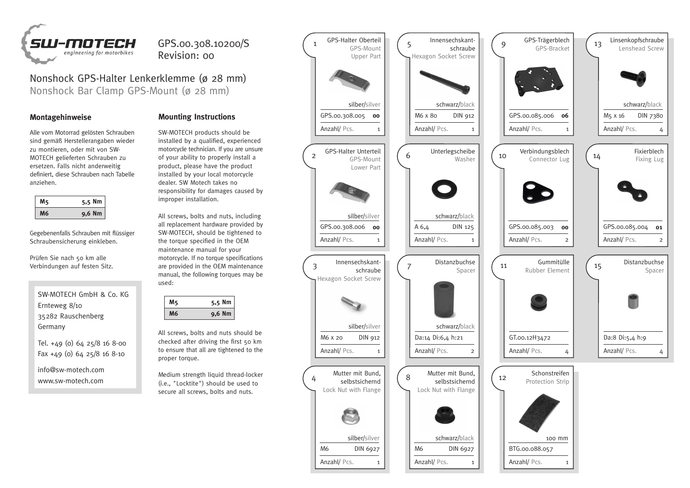

## GPS.00.308.10200/S Revision: 00

Nonshock GPS-Halter Lenkerklemme (ø 28 mm) Nonshock Bar Clamp GPS-Mount (ø 28 mm)

Alle vom Motorrad gelösten Schrauben sind gemäß Herstellerangaben wieder zu montieren, oder mit von SW-MOTECH gelieferten Schrauben zu ersetzen. Falls nicht anderweitig definiert, diese Schrauben nach Tabelle anziehen.

|  | 5,5 Nm   |
|--|----------|
|  | $9,6$ Nm |

Gegebenenfalls Schrauben mit flüssiger Schraubensicherung einkleben.

Prüfen Sie nach 50 km alle Verbindungen auf festen Sitz.

SW-MOTECH GmbH & Co. KG Ernteweg 8/10 35282 Rauschenberg Germany

Tel. +49 (0) 64 25/8 16 8-00 Fax +49 (0) 64 25/8 16 8-10

info@sw-motech.com www.sw-motech.com

## **Montagehinweise Mounting Instructions**

SW-MOTECH products should be installed by a qualified, experienced motorcycle technician. If you are unsure of your ability to properly install a product, please have the product installed by your local motorcycle dealer. SW Motech takes no responsibility for damages caused by improper installation.

All screws, bolts and nuts, including all replacement hardware provided by SW-MOTECH, should be tightened to the torque specified in the OEM maintenance manual for your motorcycle. If no torque specifications are provided in the OEM maintenance manual, the following torques may be used:

| 5,5 N<br>١m |
|-------------|
| 9,6 Nm      |

All screws, bolts and nuts should be checked after driving the first 50 km to ensure that all are tightened to the proper torque.

Medium strength liquid thread-locker (i.e., "Locktite") should be used to secure all screws, bolts and nuts.